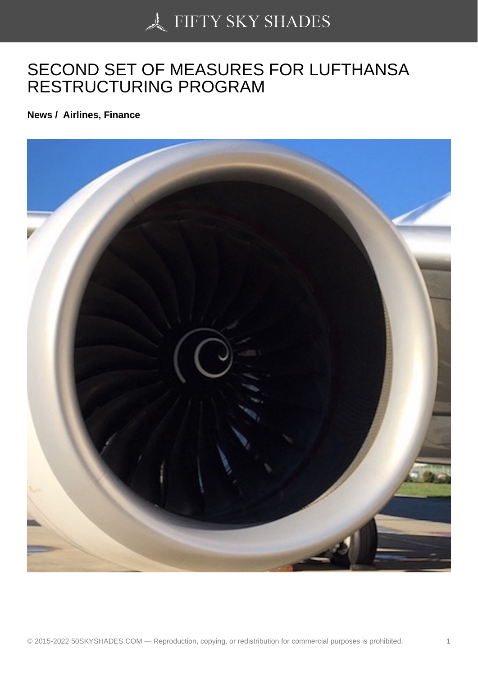## [SECOND SET OF MEA](https://50skyshades.com)SURES FOR LUFTHANSA RESTRUCTURING PROGRAM

News / Airlines, Finance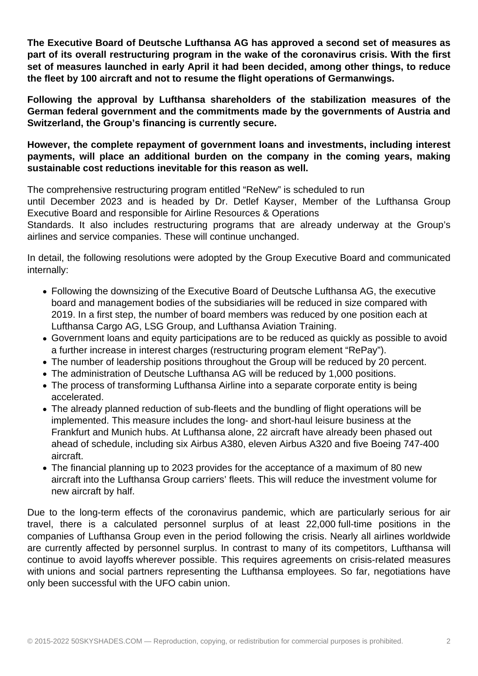**The Executive Board of Deutsche Lufthansa AG has approved a second set of measures as part of its overall restructuring program in the wake of the coronavirus crisis. With the first set of measures launched in early April it had been decided, among other things, to reduce the fleet by 100 aircraft and not to resume the flight operations of Germanwings.**

**Following the approval by Lufthansa shareholders of the stabilization measures of the German federal government and the commitments made by the governments of Austria and Switzerland, the Group's financing is currently secure.**

**However, the complete repayment of government loans and investments, including interest payments, will place an additional burden on the company in the coming years, making sustainable cost reductions inevitable for this reason as well.**

The comprehensive restructuring program entitled "ReNew" is scheduled to run

until December 2023 and is headed by Dr. Detlef Kayser, Member of the Lufthansa Group Executive Board and responsible for Airline Resources & Operations

Standards. It also includes restructuring programs that are already underway at the Group's airlines and service companies. These will continue unchanged.

In detail, the following resolutions were adopted by the Group Executive Board and communicated internally:

- Following the downsizing of the Executive Board of Deutsche Lufthansa AG, the executive board and management bodies of the subsidiaries will be reduced in size compared with 2019. In a first step, the number of board members was reduced by one position each at Lufthansa Cargo AG, LSG Group, and Lufthansa Aviation Training.
- Government loans and equity participations are to be reduced as quickly as possible to avoid a further increase in interest charges (restructuring program element "RePay").
- The number of leadership positions throughout the Group will be reduced by 20 percent.
- The administration of Deutsche Lufthansa AG will be reduced by 1,000 positions.
- The process of transforming Lufthansa Airline into a separate corporate entity is being accelerated.
- The already planned reduction of sub-fleets and the bundling of flight operations will be implemented. This measure includes the long- and short-haul leisure business at the Frankfurt and Munich hubs. At Lufthansa alone, 22 aircraft have already been phased out ahead of schedule, including six Airbus A380, eleven Airbus A320 and five Boeing 747-400 aircraft.
- The financial planning up to 2023 provides for the acceptance of a maximum of 80 new aircraft into the Lufthansa Group carriers' fleets. This will reduce the investment volume for new aircraft by half.

Due to the long-term effects of the coronavirus pandemic, which are particularly serious for air travel, there is a calculated personnel surplus of at least 22,000 full-time positions in the companies of Lufthansa Group even in the period following the crisis. Nearly all airlines worldwide are currently affected by personnel surplus. In contrast to many of its competitors, Lufthansa will continue to avoid layoffs wherever possible. This requires agreements on crisis-related measures with unions and social partners representing the Lufthansa employees. So far, negotiations have only been successful with the UFO cabin union.